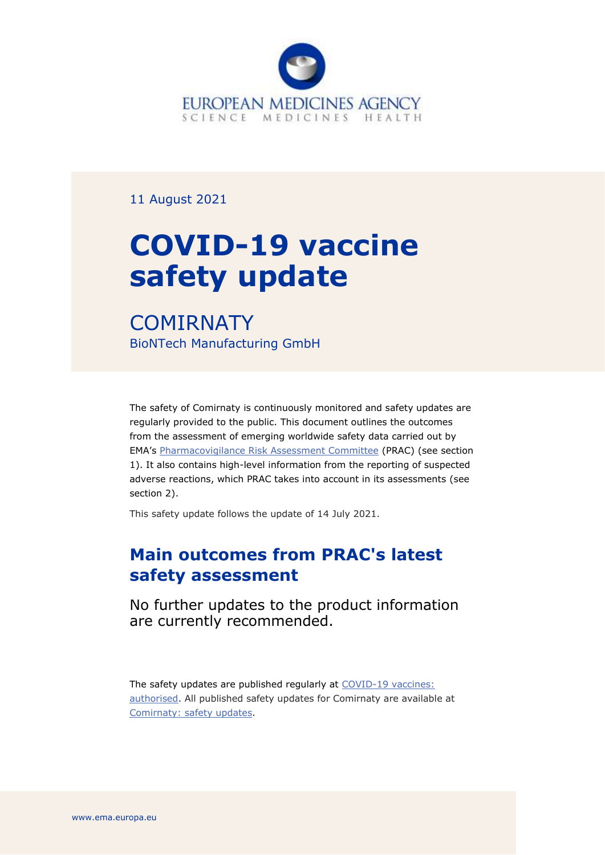

11 August 2021

# **COVID-19 vaccine safety update**

**COMIRNATY** BioNTech Manufacturing GmbH

The safety of Comirnaty is continuously monitored and safety updates are regularly provided to the public. This document outlines the outcomes from the assessment of emerging worldwide safety data carried out by EMA's [Pharmacovigilance Risk Assessment Committee](https://www.ema.europa.eu/en/committees/pharmacovigilance-risk-assessment-committee-prac) (PRAC) (see section 1). It also contains high-level information from the reporting of suspected adverse reactions, which PRAC takes into account in its assessments (see section 2).

This safety update follows the update of 14 July 2021.

# **Main outcomes from PRAC's latest safety assessment**

No further updates to the product information are currently recommended.

The safety updates are published regularly at [COVID-19 vaccines:](https://www.ema.europa.eu/en/human-regulatory/overview/public-health-threats/coronavirus-disease-covid-19/treatments-vaccines/vaccines-covid-19/covid-19-vaccines-authorised#safety-updates-for-authorised-covid-19-vaccines-section)  [authorised.](https://www.ema.europa.eu/en/human-regulatory/overview/public-health-threats/coronavirus-disease-covid-19/treatments-vaccines/vaccines-covid-19/covid-19-vaccines-authorised#safety-updates-for-authorised-covid-19-vaccines-section) All published safety updates for Comirnaty are available at [Comirnaty: safety updates.](https://www.ema.europa.eu/en/medicines/human/EPAR/comirnaty#safety-updates-section)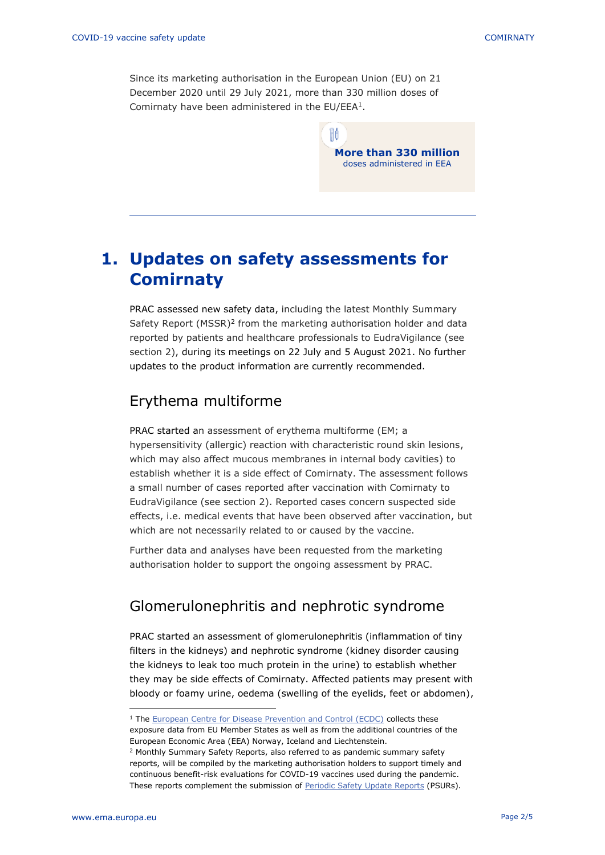Since its marketing authorisation in the European Union (EU) on 21 December 2020 until 29 July 2021, more than 330 million doses of Comirnaty have been administered in the  $EU/EEA<sup>1</sup>$ .

> Ħô **More than 330 million** doses administered in EEA

## **1. Updates on safety assessments for Comirnaty**

PRAC assessed new safety data, including the latest Monthly Summary Safety Report (MSSR)<sup>2</sup> from the marketing authorisation holder and data reported by patients and healthcare professionals to EudraVigilance (see section 2), during its meetings on 22 July and 5 August 2021. No further updates to the product information are currently recommended.

### Erythema multiforme

PRAC started an assessment of erythema multiforme (EM; a hypersensitivity (allergic) reaction with characteristic round skin lesions, which may also affect mucous membranes in internal body cavities) to establish whether it is a side effect of Comirnaty. The assessment follows a small number of cases reported after vaccination with Comirnaty to EudraVigilance (see section 2). Reported cases concern suspected side effects, i.e. medical events that have been observed after vaccination, but which are not necessarily related to or caused by the vaccine.

Further data and analyses have been requested from the marketing authorisation holder to support the ongoing assessment by PRAC.

## Glomerulonephritis and nephrotic syndrome

PRAC started an assessment of glomerulonephritis (inflammation of tiny filters in the kidneys) and nephrotic syndrome (kidney disorder causing the kidneys to leak too much protein in the urine) to establish whether they may be side effects of Comirnaty. Affected patients may present with bloody or foamy urine, oedema (swelling of the eyelids, feet or abdomen),

exposure data from EU Member States as well as from the additional countries of the European Economic Area (EEA) Norway, Iceland and Liechtenstein.

<sup>&</sup>lt;sup>1</sup> The **European Centre for Disease Prevention and Control (ECDC)** collects these

<sup>2</sup> Monthly Summary Safety Reports, also referred to as pandemic summary safety reports, will be compiled by the marketing authorisation holders to support timely and continuous benefit-risk evaluations for COVID-19 vaccines used during the pandemic. These reports complement the submission of [Periodic Safety Update Reports](https://www.ema.europa.eu/en/human-regulatory/post-authorisation/pharmacovigilance/periodic-safety-update-reports-psurs) (PSURs).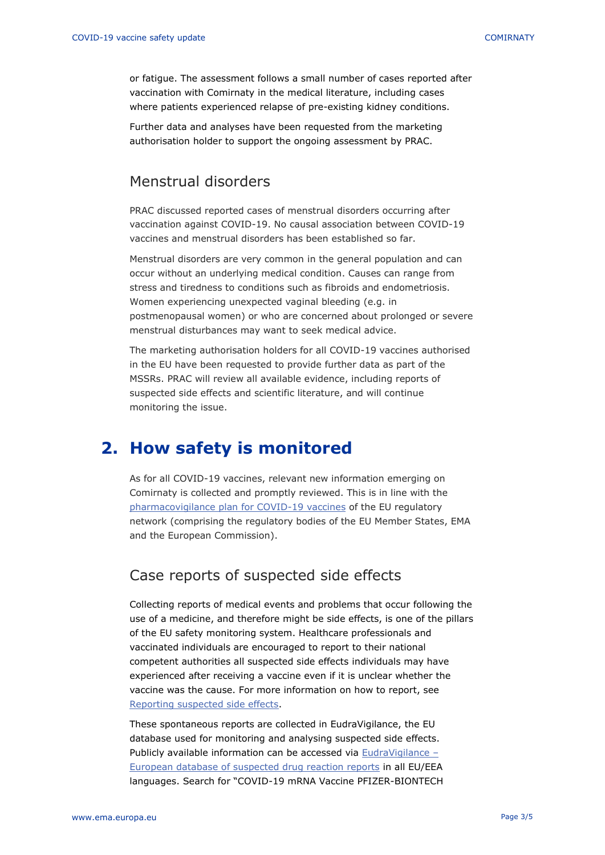or fatigue. The assessment follows a small number of cases reported after vaccination with Comirnaty in the medical literature, including cases where patients experienced relapse of pre-existing kidney conditions.

Further data and analyses have been requested from the marketing authorisation holder to support the ongoing assessment by PRAC.

## Menstrual disorders

PRAC discussed reported cases of menstrual disorders occurring after vaccination against COVID-19. No causal association between COVID-19 vaccines and menstrual disorders has been established so far.

Menstrual disorders are very common in the general population and can occur without an underlying medical condition. Causes can range from stress and tiredness to conditions such as fibroids and endometriosis. Women experiencing unexpected vaginal bleeding (e.g. in postmenopausal women) or who are concerned about prolonged or severe menstrual disturbances may want to seek medical advice.

The marketing authorisation holders for all COVID-19 vaccines authorised in the EU have been requested to provide further data as part of the MSSRs. PRAC will review all available evidence, including reports of suspected side effects and scientific literature, and will continue monitoring the issue.

## **2. How safety is monitored**

As for all COVID-19 vaccines, relevant new information emerging on Comirnaty is collected and promptly reviewed. This is in line with the [pharmacovigilance plan for COVID-19 vaccines](https://www.ema.europa.eu/en/human-regulatory/overview/public-health-threats/coronavirus-disease-covid-19/treatments-vaccines/treatments-vaccines-covid-19-post-authorisation#covid-19-vaccines:-pharmacovigilance-plan-section) of the EU regulatory network (comprising the regulatory bodies of the EU Member States, EMA and the European Commission).

## Case reports of suspected side effects

Collecting reports of medical events and problems that occur following the use of a medicine, and therefore might be side effects, is one of the pillars of the EU safety monitoring system. Healthcare professionals and vaccinated individuals are encouraged to report to their national competent authorities all suspected side effects individuals may have experienced after receiving a vaccine even if it is unclear whether the vaccine was the cause. For more information on how to report, see [Reporting suspected side effects.](https://www.ema.europa.eu/en/human-regulatory/overview/public-health-threats/coronavirus-disease-covid-19/public-health-advice-during-covid-19-pandemic#reporting-suspected-side-effects-section)

These spontaneous reports are collected in EudraVigilance, the EU database used for monitoring and analysing suspected side effects. Publicly available information can be accessed via [EudraVigilance](https://www.adrreports.eu/en/index.html) – [European database of suspected drug reaction reports](https://www.adrreports.eu/en/index.html) in all EU/EEA languages. Search for "COVID-19 mRNA Vaccine PFIZER-BIONTECH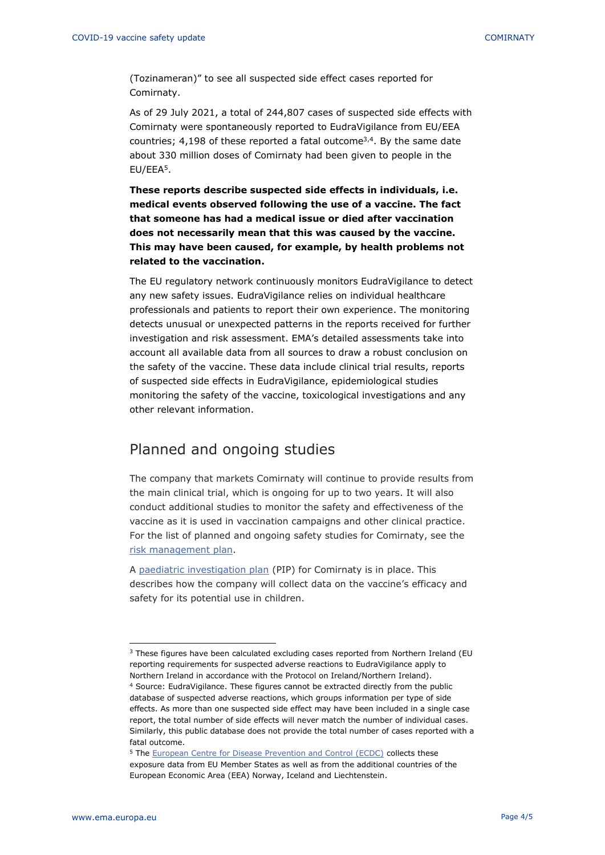(Tozinameran)" to see all suspected side effect cases reported for Comirnaty.

As of 29 July 2021, a total of 244,807 cases of suspected side effects with Comirnaty were spontaneously reported to EudraVigilance from EU/EEA countries;  $4,198$  of these reported a fatal outcome<sup>3,4</sup>. By the same date about 330 million doses of Comirnaty had been given to people in the EU/EEA<sup>5</sup> .

**These reports describe suspected side effects in individuals, i.e. medical events observed following the use of a vaccine. The fact that someone has had a medical issue or died after vaccination does not necessarily mean that this was caused by the vaccine. This may have been caused, for example, by health problems not related to the vaccination.** 

The EU regulatory network continuously monitors EudraVigilance to detect any new safety issues. EudraVigilance relies on individual healthcare professionals and patients to report their own experience. The monitoring detects unusual or unexpected patterns in the reports received for further investigation and risk assessment. EMA's detailed assessments take into account all available data from all sources to draw a robust conclusion on the safety of the vaccine. These data include clinical trial results, reports of suspected side effects in EudraVigilance, epidemiological studies monitoring the safety of the vaccine, toxicological investigations and any other relevant information.

### Planned and ongoing studies

The company that markets Comirnaty will continue to provide results from the main clinical trial, which is ongoing for up to two years. It will also conduct additional studies to monitor the safety and effectiveness of the vaccine as it is used in vaccination campaigns and other clinical practice. For the list of planned and ongoing safety studies for Comirnaty, see the [risk management plan.](https://www.ema.europa.eu/en/documents/rmp/comirnaty-epar-risk-management-plan_en.pdf)

A [paediatric investigation plan](https://www.ema.europa.eu/en/medicines/human/paediatric-investigation-plans/emea-002861-pip02-20) (PIP) for Comirnaty is in place. This describes how the company will collect data on the vaccine's efficacy and safety for its potential use in children.

<sup>&</sup>lt;sup>3</sup> These figures have been calculated excluding cases reported from Northern Ireland (EU reporting requirements for suspected adverse reactions to EudraVigilance apply to Northern Ireland in accordance with the Protocol on Ireland/Northern Ireland).

<sup>4</sup> Source: EudraVigilance. These figures cannot be extracted directly from the public database of suspected adverse reactions, which groups information per type of side effects. As more than one suspected side effect may have been included in a single case report, the total number of side effects will never match the number of individual cases. Similarly, this public database does not provide the total number of cases reported with a fatal outcome.

<sup>&</sup>lt;sup>5</sup> The [European Centre for Disease Prevention and Control \(ECDC\)](https://qap.ecdc.europa.eu/public/extensions/COVID-19/vaccine-tracker.html#uptake-tab) collects these exposure data from EU Member States as well as from the additional countries of the European Economic Area (EEA) Norway, Iceland and Liechtenstein.